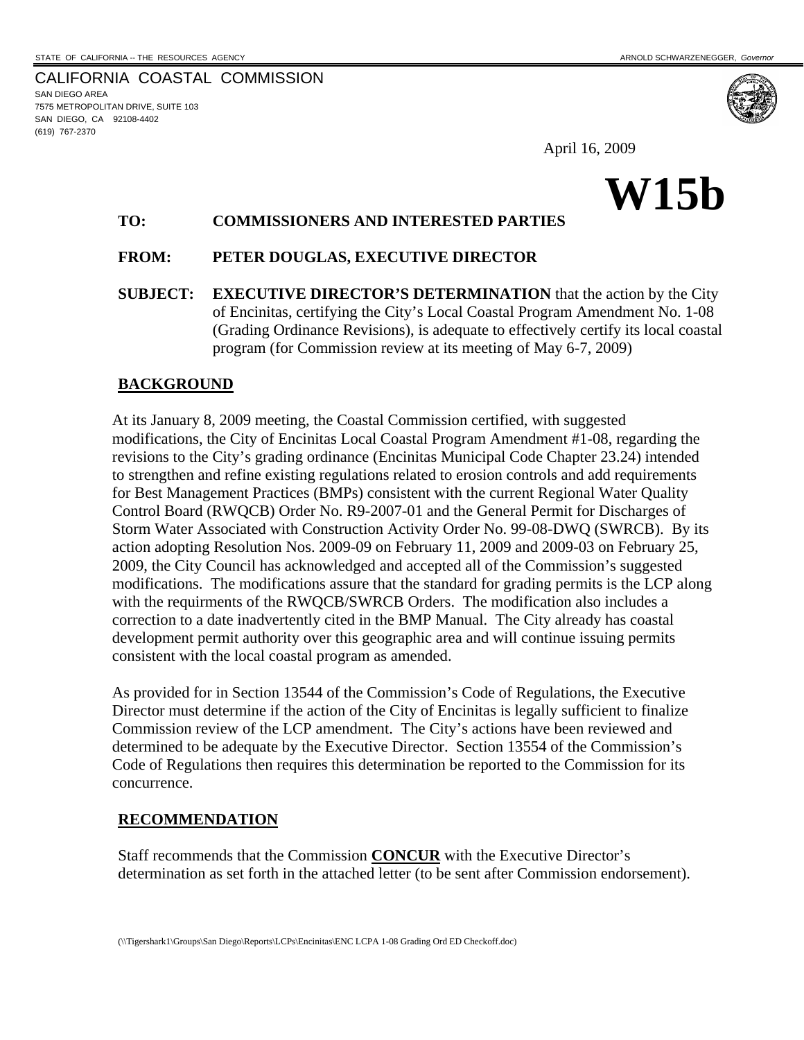CALIFORNIA COASTAL COMMISSION SAN DIEGO AREA 7575 METROPOLITAN DRIVE, SUITE 103 SAN DIEGO, CA 92108-4402 (619) 767-2370

April 16, 2009

# **W15b**

# **TO: COMMISSIONERS AND INTERESTED PARTIES**

# **FROM: PETER DOUGLAS, EXECUTIVE DIRECTOR**

**SUBJECT: EXECUTIVE DIRECTOR'S DETERMINATION** that the action by the City of Encinitas, certifying the City's Local Coastal Program Amendment No. 1-08 (Grading Ordinance Revisions), is adequate to effectively certify its local coastal program (for Commission review at its meeting of May 6-7, 2009)

#### **BACKGROUND**

At its January 8, 2009 meeting, the Coastal Commission certified, with suggested modifications, the City of Encinitas Local Coastal Program Amendment #1-08, regarding the revisions to the City's grading ordinance (Encinitas Municipal Code Chapter 23.24) intended to strengthen and refine existing regulations related to erosion controls and add requirements for Best Management Practices (BMPs) consistent with the current Regional Water Quality Control Board (RWQCB) Order No. R9-2007-01 and the General Permit for Discharges of Storm Water Associated with Construction Activity Order No. 99-08-DWQ (SWRCB). By its action adopting Resolution Nos. 2009-09 on February 11, 2009 and 2009-03 on February 25, 2009, the City Council has acknowledged and accepted all of the Commission's suggested modifications. The modifications assure that the standard for grading permits is the LCP along with the requirments of the RWQCB/SWRCB Orders. The modification also includes a correction to a date inadvertently cited in the BMP Manual. The City already has coastal development permit authority over this geographic area and will continue issuing permits consistent with the local coastal program as amended.

As provided for in Section 13544 of the Commission's Code of Regulations, the Executive Director must determine if the action of the City of Encinitas is legally sufficient to finalize Commission review of the LCP amendment. The City's actions have been reviewed and determined to be adequate by the Executive Director. Section 13554 of the Commission's Code of Regulations then requires this determination be reported to the Commission for its concurrence.

#### **RECOMMENDATION**

Staff recommends that the Commission **CONCUR** with the Executive Director's determination as set forth in the attached letter (to be sent after Commission endorsement).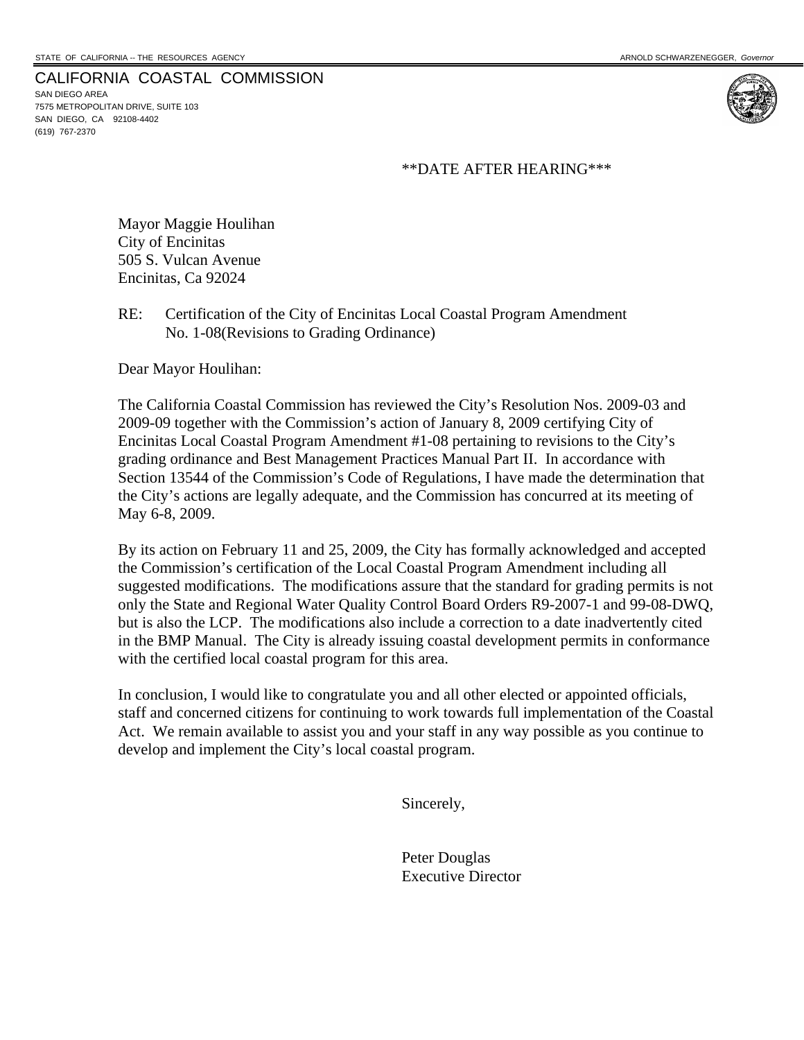#### CALIFORNIA COASTAL COMMISSION

SAN DIEGO AREA 7575 METROPOLITAN DRIVE, SUITE 103 SAN DIEGO, CA 92108-4402 (619) 767-2370



\*\*DATE AFTER HEARING\*\*\*

Mayor Maggie Houlihan City of Encinitas 505 S. Vulcan Avenue Encinitas, Ca 92024

RE: Certification of the City of Encinitas Local Coastal Program Amendment No. 1-08(Revisions to Grading Ordinance)

Dear Mayor Houlihan:

The California Coastal Commission has reviewed the City's Resolution Nos. 2009-03 and 2009-09 together with the Commission's action of January 8, 2009 certifying City of Encinitas Local Coastal Program Amendment #1-08 pertaining to revisions to the City's grading ordinance and Best Management Practices Manual Part II. In accordance with Section 13544 of the Commission's Code of Regulations, I have made the determination that the City's actions are legally adequate, and the Commission has concurred at its meeting of May 6-8, 2009.

By its action on February 11 and 25, 2009, the City has formally acknowledged and accepted the Commission's certification of the Local Coastal Program Amendment including all suggested modifications. The modifications assure that the standard for grading permits is not only the State and Regional Water Quality Control Board Orders R9-2007-1 and 99-08-DWQ, but is also the LCP. The modifications also include a correction to a date inadvertently cited in the BMP Manual. The City is already issuing coastal development permits in conformance with the certified local coastal program for this area.

In conclusion, I would like to congratulate you and all other elected or appointed officials, staff and concerned citizens for continuing to work towards full implementation of the Coastal Act. We remain available to assist you and your staff in any way possible as you continue to develop and implement the City's local coastal program.

Sincerely,

 Peter Douglas Executive Director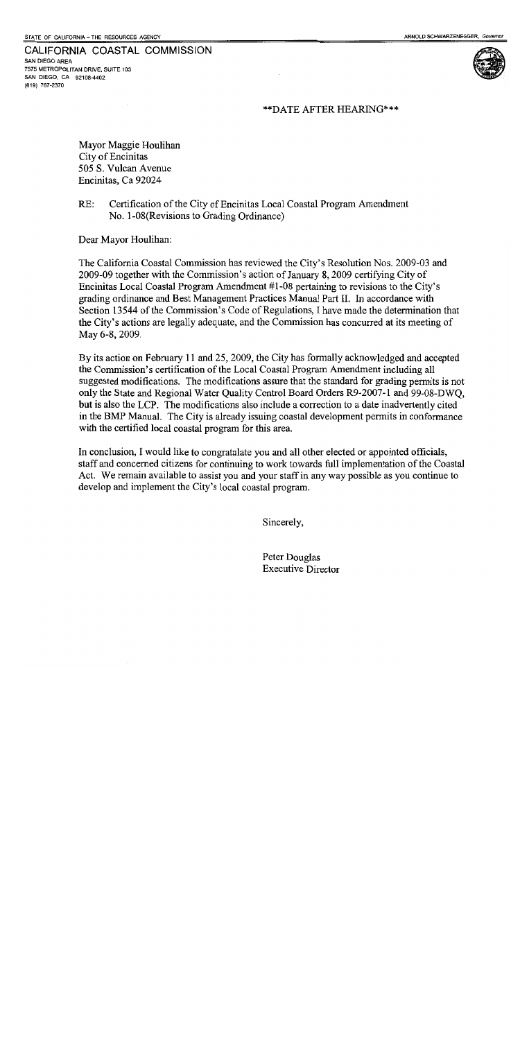CALIFORNIA COASTAL COMMISSION

SAN DIEGO AREA 7575 METROPOLITAN DRIVE, SUITE 103 SAN DIEGO, CA 92108-4402 (619) 767-2370

#### \*\* DATE AFTER HEARING\*\*\*

Mayor Maggie Houlihan City of Encinitas 505 S. Vulcan Avenue Encinitas, Ca 92024

#### $RE:$ Certification of the City of Encinitas Local Coastal Program Amendment No. 1-08 (Revisions to Grading Ordinance)

Dear Mayor Houlihan:

The California Coastal Commission has reviewed the City's Resolution Nos. 2009-03 and 2009-09 together with the Commission's action of January 8, 2009 certifying City of Encinitas Local Coastal Program Amendment #1-08 pertaining to revisions to the City's grading ordinance and Best Management Practices Manual Part II. In accordance with Section 13544 of the Commission's Code of Regulations, I have made the determination that the City's actions are legally adequate, and the Commission has concurred at its meeting of May 6-8, 2009.

By its action on February 11 and 25, 2009, the City has formally acknowledged and accepted the Commission's certification of the Local Coastal Program Amendment including all suggested modifications. The modifications assure that the standard for grading permits is not only the State and Regional Water Quality Control Board Orders R9-2007-1 and 99-08-DWO. but is also the LCP. The modifications also include a correction to a date inadvertently cited in the BMP Manual. The City is already issuing coastal development permits in conformance with the certified local coastal program for this area.

In conclusion, I would like to congratulate you and all other elected or appointed officials, staff and concerned citizens for continuing to work towards full implementation of the Coastal Act. We remain available to assist you and your staff in any way possible as you continue to develop and implement the City's local coastal program.

Sincerely,

Peter Douglas **Executive Director**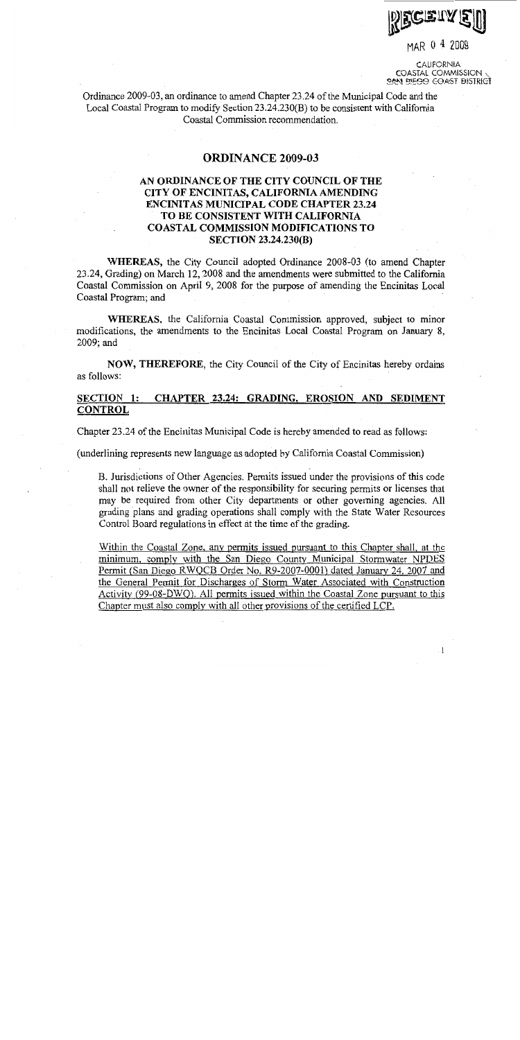

MAR 0 4 2009

CALIFORNIA COASTAL COMMISSION **OAN FIFOO COAST BISTRICT** 

Ordinance 2009-03, an ordinance to amend Chapter 23.24 of the Municipal Code and the Local Coastal Program to modify Section 23.24.230(B) to be consistent with California Coastal Commission recommendation.

#### **ORDINANCE 2009-03**

# AN ORDINANCE OF THE CITY COUNCIL OF THE CITY OF ENCINITAS, CALIFORNIA AMENDING **ENCINITAS MUNICIPAL CODE CHAPTER 23.24** TO BE CONSISTENT WITH CALIFORNIA **COASTAL COMMISSION MODIFICATIONS TO SECTION 23.24.230(B)**

WHEREAS, the City Council adopted Ordinance 2008-03 (to amend Chapter 23.24, Grading) on March 12, 2008 and the amendments were submitted to the California Coastal Commission on April 9, 2008 for the purpose of amending the Encinitas Local Coastal Program; and

WHEREAS, the California Coastal Commission approved, subject to minor modifications, the amendments to the Encinitas Local Coastal Program on January 8, 2009; and

NOW, THEREFORE, the City Council of the City of Encinitas hereby ordains as follows:

#### **SECTION 1:** CHAPTER 23.24: GRADING, EROSION AND SEDIMENT **CONTROL**

Chapter 23.24 of the Encinitas Municipal Code is hereby amended to read as follows:

(underlining represents new language as adopted by California Coastal Commission)

B. Jurisdictions of Other Agencies. Permits issued under the provisions of this code shall not relieve the owner of the responsibility for securing permits or licenses that may be required from other City departments or other governing agencies. All grading plans and grading operations shall comply with the State Water Resources Control Board regulations in effect at the time of the grading.

Within the Coastal Zone, any permits issued pursuant to this Chapter shall, at the minimum, comply with the San Diego County Municipal Stormwater NPDES Permit (San Diego RWQCB Order No. R9-2007-0001) dated January 24, 2007 and the General Permit for Discharges of Storm Water Associated with Construction Activity (99-08-DWQ). All permits issued within the Coastal Zone pursuant to this Chapter must also comply with all other provisions of the certified LCP.

 $\mathbf{1}$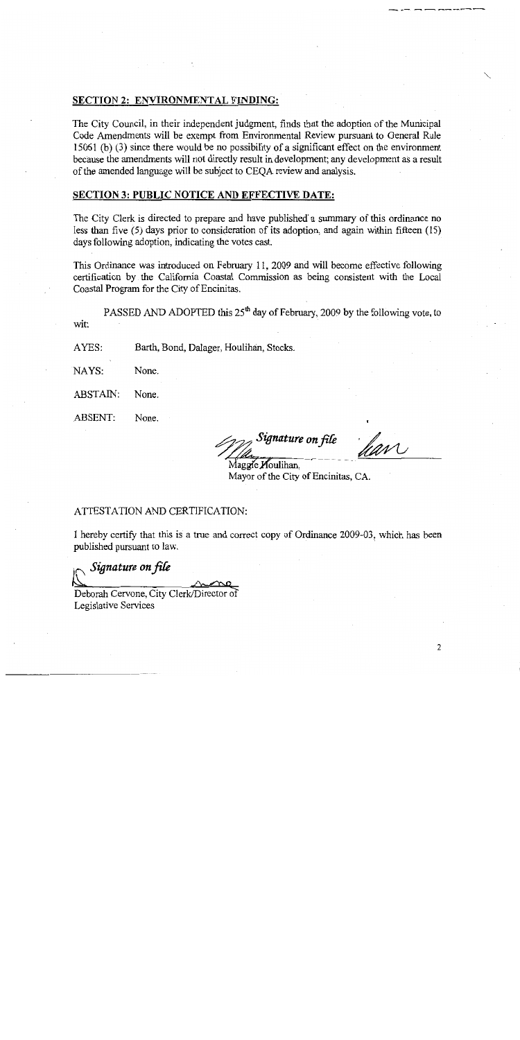#### **SECTION 2: ENVIRONMENTAL FINDING:**

The City Council, in their independent judgment, finds that the adoption of the Municipal Code Amendments will be exempt from Environmental Review pursuant to General Rule 15061 (b) (3) since there would be no possibility of a significant effect on the environment because the amendments will not directly result in development; any development as a result of the amended language will be subject to CEQA review and analysis.

#### **SECTION 3: PUBLIC NOTICE AND EFFECTIVE DATE:**

The City Clerk is directed to prepare and have published a summary of this ordinance no less than five  $(5)$  days prior to consideration of its adoption, and again within fifteen  $(15)$ days following adoption, indicating the votes cast.

This Ordinance was introduced on February 11, 2009 and will become effective following certification by the California Coastal Commission as being consistent with the Local Coastal Program for the City of Encinitas.

PASSED AND ADOPTED this 25<sup>th</sup> day of February, 2009 by the following vote, to wit:

Barth, Bond, Dalager, Houlihan, Stocks. AYES:

NAYS: None.

ABSTAIN: None.

**ABSENT:** None.

hav Signature on file

Maggie Moulihan, Mayor of the City of Encinitas, CA.

#### ATTESTATION AND CERTIFICATION:

I hereby certify that this is a true and correct copy of Ordinance 2009-03, which has been published pursuant to law.

Signature on file Deborah Cervone, City Clerk/Director of

Legislative Services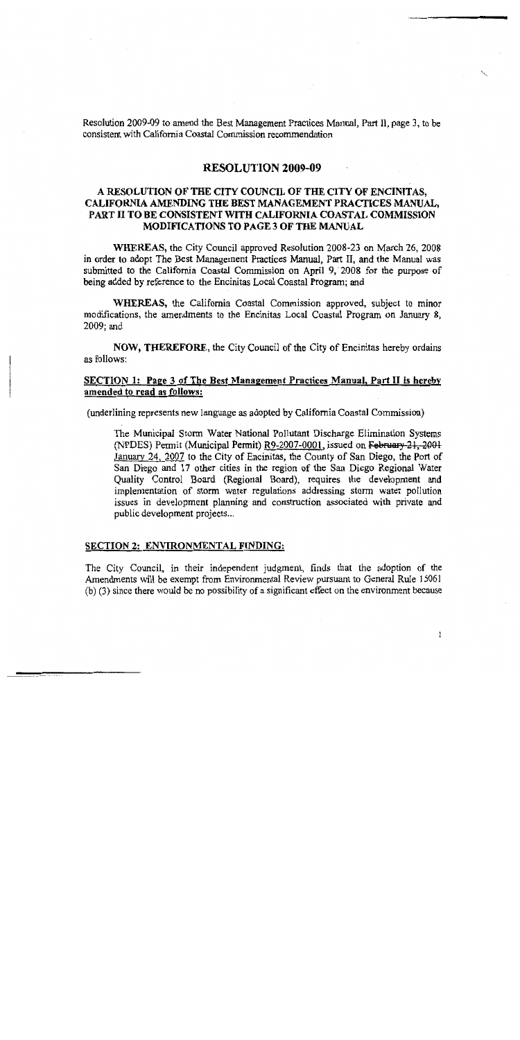Resolution 2009-09 to amend the Best Management Practices Manual, Part II, page 3, to be consistent with California Coastal Commission recommendation

### **RESOLUTION 2009-09**

### A RESOLUTION OF THE CITY COUNCIL OF THE CITY OF ENCINITAS, CALIFORNIA AMENDING THE BEST MANAGEMENT PRACTICES MANUAL. PART II TO BE CONSISTENT WITH CALIFORNIA COASTAL COMMISSION **MODIFICATIONS TO PAGE 3 OF THE MANUAL**

WHEREAS, the City Council approved Resolution 2008-23 on March 26, 2008 in order to adopt The Best Management Practices Manual, Part II, and the Manual was submitted to the California Coastal Commission on April 9, 2008 for the purpose of being added by reference to the Encinitas Local Coastal Program; and

WHEREAS, the California Coastal Commission approved, subject to minor modifications, the amendments to the Encinitas Local Coastal Program on January 8, 2009; and

**NOW, THEREFORE, the City Council of the City of Encinitas hereby ordains** as follows:

#### SECTION 1: Page 3 of The Best Management Practices Manual, Part II is hereby amended to read as follows:

(underlining represents new language as adopted by California Coastal Commission)

The Municipal Storm Water National Pollutant Discharge Elimination Systems (NPDES) Permit (Municipal Permit) R9-2007-0001, issued on February 21, 2001 January 24, 2007 to the City of Encinitas, the County of San Diego, the Port of San Diego and 17 other cities in the region of the San Diego Regional Water Quality Control Board (Regional Board), requires the development and implementation of storm water regulations addressing storm water pollution issues in development planning and construction associated with private and public development projects...

#### **SECTION 2: ENVIRONMENTAL FINDING:**

The City Council, in their independent judgment, finds that the adoption of the Amendments will be exempt from Environmental Review pursuant to General Rule 15061 (b) (3) since there would be no possibility of a significant effect on the environment because

 $\mathbf 1$